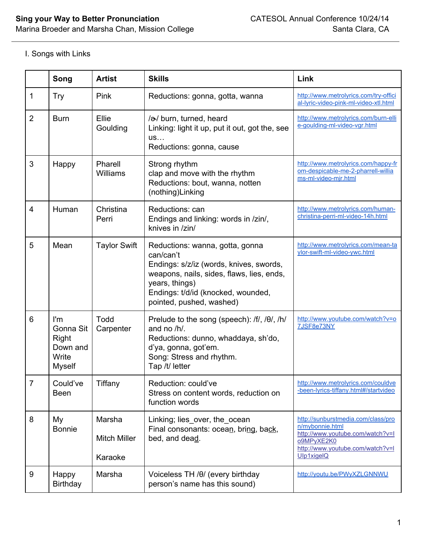I. Songs with Links

|                | Song                                                                                | <b>Artist</b>                            | <b>Skills</b>                                                                                                                                                                                                            | Link                                                                                                                                                      |  |
|----------------|-------------------------------------------------------------------------------------|------------------------------------------|--------------------------------------------------------------------------------------------------------------------------------------------------------------------------------------------------------------------------|-----------------------------------------------------------------------------------------------------------------------------------------------------------|--|
| 1              | Try                                                                                 | Pink                                     | Reductions: gonna, gotta, wanna                                                                                                                                                                                          | http://www.metrolyrics.com/try-offici<br>al-lyric-video-pink-ml-video-xtl.html                                                                            |  |
| $\overline{2}$ | <b>Burn</b>                                                                         | Ellie<br>Goulding                        | /a/ burn, turned, heard<br>Linking: light it up, put it out, got the, see<br><b>us</b><br>Reductions: gonna, cause                                                                                                       | http://www.metrolyrics.com/burn-elli<br>e-goulding-ml-video-vgr.html                                                                                      |  |
| 3              | Happy                                                                               | Pharell<br><b>Williams</b>               | Strong rhythm<br>clap and move with the rhythm<br>Reductions: bout, wanna, notten<br>(nothing)Linking                                                                                                                    | http://www.metrolyrics.com/happy-fr<br>om-despicable-me-2-pharrell-willia<br>ms-ml-video-mjr.html                                                         |  |
| $\overline{4}$ | Human                                                                               | Christina<br>Perri                       | Reductions: can<br>Endings and linking: words in /zin/,<br>knives in /zin/                                                                                                                                               | http://www.metrolyrics.com/human-<br>christina-perri-ml-video-14h.html                                                                                    |  |
| 5              | Mean                                                                                | <b>Taylor Swift</b>                      | Reductions: wanna, gotta, gonna<br>can/can't<br>Endings: s/z/iz (words, knives, swords,<br>weapons, nails, sides, flaws, lies, ends,<br>years, things)<br>Endings: t/d/id (knocked, wounded,<br>pointed, pushed, washed) | http://www.metrolyrics.com/mean-ta<br>ylor-swift-ml-video-ywc.html                                                                                        |  |
| 6              | $\mathsf{I}'\mathsf{m}$<br>Gonna Sit<br>Right<br>Down and<br>Write<br><b>Myself</b> | Todd<br>Carpenter                        | Prelude to the song (speech): /f/, /0/, /h/<br>and no $/h/$ .<br>Reductions: dunno, whaddaya, sh'do,<br>d'ya, gonna, got'em.<br>Song: Stress and rhythm.<br>Tap /t/ letter                                               | http://www.youtube.com/watch?v=o<br>7JSF8e73NY                                                                                                            |  |
| $\overline{7}$ | Could've<br>Been                                                                    | Tiffany                                  | Reduction: could've<br>Stress on content words, reduction on<br>function words                                                                                                                                           | http://www.metrolyrics.com/couldve<br>-been-lyrics-tiffany.html#/startvideo                                                                               |  |
| 8              | My<br><b>Bonnie</b>                                                                 | Marsha<br><b>Mitch Miller</b><br>Karaoke | Linking; lies over, the ocean<br>Final consonants: ocean, bring, back,<br>bed, and dead.                                                                                                                                 | http://sunburstmedia.com/class/pro<br>n/mybonnie.html<br>http://www.youtube.com/watch?v=I<br>o9MPyXE2K0<br>http://www.youtube.com/watch?v=l<br>Ulp1xigeIQ |  |
| 9              | Happy<br><b>Birthday</b>                                                            | Marsha                                   | Voiceless TH /0/ (every birthday<br>person's name has this sound)                                                                                                                                                        | http://youtu.be/PWyXZLGNNWU                                                                                                                               |  |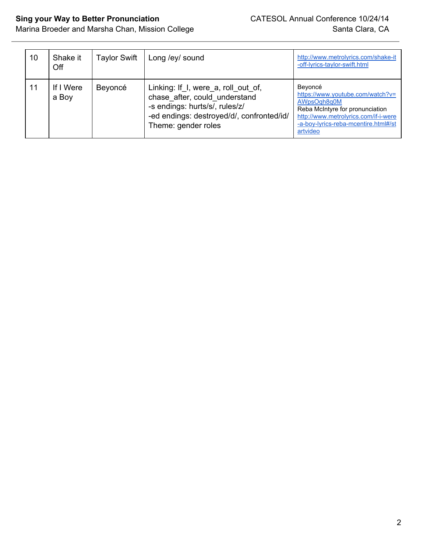|  | Marina Broeder and Marsha Chan, Mission College |  |  |  |  |  |
|--|-------------------------------------------------|--|--|--|--|--|
|--|-------------------------------------------------|--|--|--|--|--|

| 10 | Shake it<br>Off    | <b>Taylor Swift</b> | Long /ey/ sound                                                                                                                                                            | http://www.metrolyrics.com/shake-it<br>-off-lyrics-taylor-swift.html                                                                                                                      |
|----|--------------------|---------------------|----------------------------------------------------------------------------------------------------------------------------------------------------------------------------|-------------------------------------------------------------------------------------------------------------------------------------------------------------------------------------------|
| 11 | If I Were<br>a Boy | Beyoncé             | Linking: If I, were a, roll out of,<br>chase after, could understand<br>-s endings: hurts/s/, rules/z/<br>-ed endings: destroyed/d/, confronted/id/<br>Theme: gender roles | Beyoncé<br>https://www.youtube.com/watch?v=<br>AWpsOgh8g0M<br>Reba McIntyre for pronunciation<br>http://www.metrolyrics.com/if-i-were<br>-a-boy-lyrics-reba-mcentire.html#/st<br>artvideo |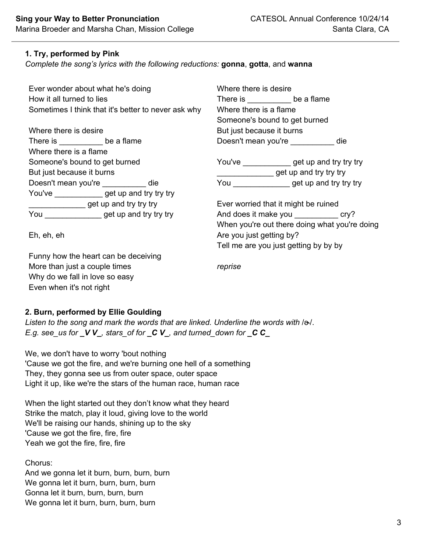### **1. Try, performed by Pink**

*Complete the song's lyrics with the following reductions:* **gonna**, **gotta**, and **wanna**

| Ever wonder about what he's doing    |                                                     | Where there is desire                         |  |  |  |
|--------------------------------------|-----------------------------------------------------|-----------------------------------------------|--|--|--|
| How it all turned to lies            |                                                     | There is _____________ be a flame             |  |  |  |
|                                      | Sometimes I think that it's better to never ask why | Where there is a flame                        |  |  |  |
|                                      |                                                     | Someone's bound to get burned                 |  |  |  |
| Where there is desire                |                                                     | But just because it burns                     |  |  |  |
| There is ____________ be a flame     |                                                     | Doesn't mean you're __________ die            |  |  |  |
| Where there is a flame               |                                                     |                                               |  |  |  |
| Someone's bound to get burned        |                                                     | You've _____________get up and try try try    |  |  |  |
| But just because it burns            |                                                     | get up and try try try                        |  |  |  |
| Doesn't mean you're __________ die   |                                                     | You _____________get up and try try try       |  |  |  |
|                                      | You've ____________get up and try try try           |                                               |  |  |  |
| get up and try try try               |                                                     | Ever worried that it might be ruined          |  |  |  |
|                                      | You _______________get up and try try try           | And does it make you ______________ cry?      |  |  |  |
|                                      |                                                     | When you're out there doing what you're doing |  |  |  |
| Eh, eh, eh                           |                                                     | Are you just getting by?                      |  |  |  |
|                                      |                                                     | Tell me are you just getting by by by         |  |  |  |
| Funny how the heart can be deceiving |                                                     |                                               |  |  |  |
| More than just a couple times        |                                                     | reprise                                       |  |  |  |
| Why do we fall in love so easy       |                                                     |                                               |  |  |  |

## **2. Burn, performed by Ellie Goulding**

Even when it's not right

*Listen to the song and mark the words that are linked. Underline the words with* /ɚ/. *E.g. see\_us for \_V V\_, stars\_of for \_C V\_, and turned\_down for \_C C\_*

We, we don't have to worry 'bout nothing 'Cause we got the fire, and we're burning one hell of a something They, they gonna see us from outer space, outer space Light it up, like we're the stars of the human race, human race

When the light started out they don't know what they heard Strike the match, play it loud, giving love to the world We'll be raising our hands, shining up to the sky 'Cause we got the fire, fire, fire Yeah we got the fire, fire, fire

Chorus:

And we gonna let it burn, burn, burn, burn We gonna let it burn, burn, burn, burn Gonna let it burn, burn, burn, burn We gonna let it burn, burn, burn, burn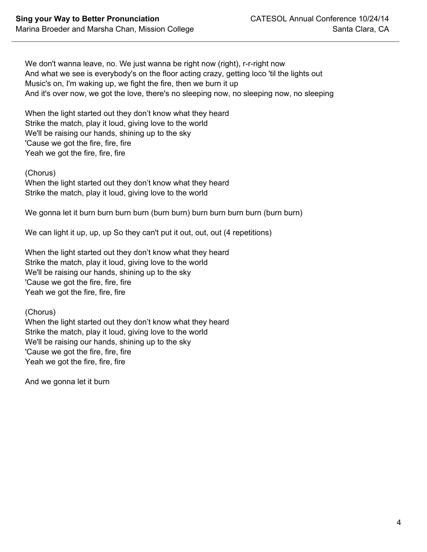We don't wanna leave, no. We just wanna be right now (right), r-r-right now And what we see is everybody's on the floor acting crazy, getting loco 'til the lights out Music's on, I'm waking up, we fight the fire, then we burn it up And it's over now, we got the love, there's no sleeping now, no sleeping now, no sleeping

When the light started out they don't know what they heard Strike the match, play it loud, giving love to the world We'll be raising our hands, shining up to the sky 'Cause we got the fire, fire, fire Yeah we got the fire, fire, fire

(Chorus)

When the light started out they don't know what they heard Strike the match, play it loud, giving love to the world

We gonna let it burn burn burn burn (burn burn) burn burn burn burn (burn burn)

We can light it up, up, up So they can't put it out, out, out (4 repetitions)

When the light started out they don't know what they heard Strike the match, play it loud, giving love to the world We'll be raising our hands, shining up to the sky 'Cause we got the fire, fire, fire Yeah we got the fire, fire, fire

(Chorus) When the light started out they don't know what they heard Strike the match, play it loud, giving love to the world We'll be raising our hands, shining up to the sky 'Cause we got the fire, fire, fire Yeah we got the fire, fire, fire

And we gonna let it burn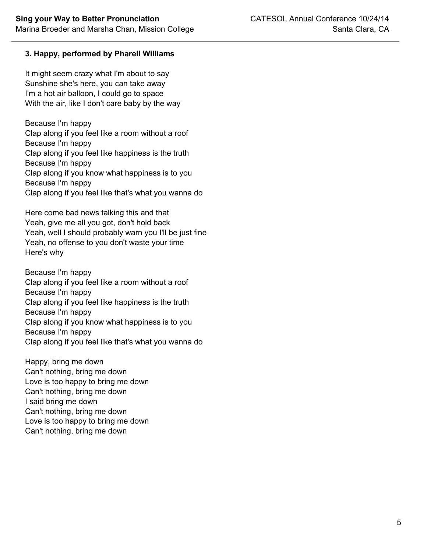# **3. Happy, performed by Pharell Williams**

It might seem crazy what I'm about to say Sunshine she's here, you can take away I'm a hot air balloon, I could go to space With the air, like I don't care baby by the way

Because I'm happy Clap along if you feel like a room without a roof Because I'm happy Clap along if you feel like happiness is the truth Because I'm happy Clap along if you know what happiness is to you Because I'm happy Clap along if you feel like that's what you wanna do

Here come bad news talking this and that Yeah, give me all you got, don't hold back Yeah, well I should probably warn you I'll be just fine Yeah, no offense to you don't waste your time Here's why

Because I'm happy Clap along if you feel like a room without a roof Because I'm happy Clap along if you feel like happiness is the truth Because I'm happy Clap along if you know what happiness is to you Because I'm happy Clap along if you feel like that's what you wanna do

Happy, bring me down Can't nothing, bring me down Love is too happy to bring me down Can't nothing, bring me down I said bring me down Can't nothing, bring me down Love is too happy to bring me down Can't nothing, bring me down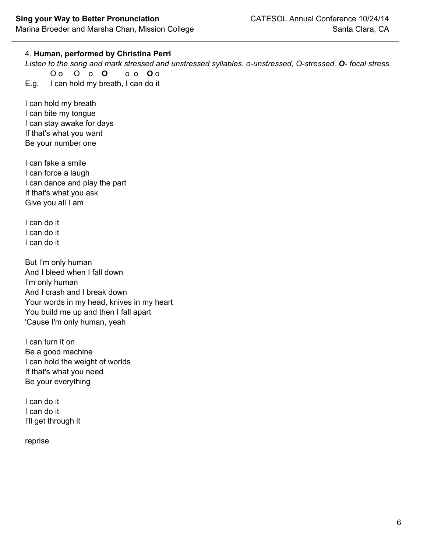## 4. **Human, performed by Christina Perri**

*Listen to the song and mark stressed and unstressed syllables. ounstressed, Ostressed, O focal stress.*

O o O o **O** o o **O** o E.g. I can hold my breath, I can do it

I can hold my breath I can bite my tongue I can stay awake for days If that's what you want Be your number one

I can fake a smile I can force a laugh I can dance and play the part If that's what you ask Give you all I am

I can do it I can do it I can do it

But I'm only human And I bleed when I fall down I'm only human And I crash and I break down Your words in my head, knives in my heart You build me up and then I fall apart 'Cause I'm only human, yeah

I can turn it on Be a good machine I can hold the weight of worlds If that's what you need Be your everything

I can do it I can do it I'll get through it

reprise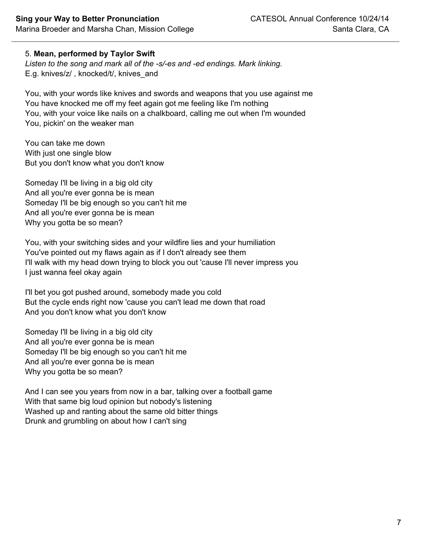### 5. **Mean, performed by Taylor Swift**

*Listen to the song and mark all of the s/es and ed endings. Mark linking.* E.g. knives/z/ , knocked/t/, knives\_and

You, with your words like knives and swords and weapons that you use against me You have knocked me off my feet again got me feeling like I'm nothing You, with your voice like nails on a chalkboard, calling me out when I'm wounded You, pickin' on the weaker man

You can take me down With just one single blow But you don't know what you don't know

Someday I'll be living in a big old city And all you're ever gonna be is mean Someday I'll be big enough so you can't hit me And all you're ever gonna be is mean Why you gotta be so mean?

You, with your switching sides and your wildfire lies and your humiliation You've pointed out my flaws again as if I don't already see them I'll walk with my head down trying to block you out 'cause I'll never impress you I just wanna feel okay again

I'll bet you got pushed around, somebody made you cold But the cycle ends right now 'cause you can't lead me down that road And you don't know what you don't know

Someday I'll be living in a big old city And all you're ever gonna be is mean Someday I'll be big enough so you can't hit me And all you're ever gonna be is mean Why you gotta be so mean?

And I can see you years from now in a bar, talking over a football game With that same big loud opinion but nobody's listening Washed up and ranting about the same old bitter things Drunk and grumbling on about how I can't sing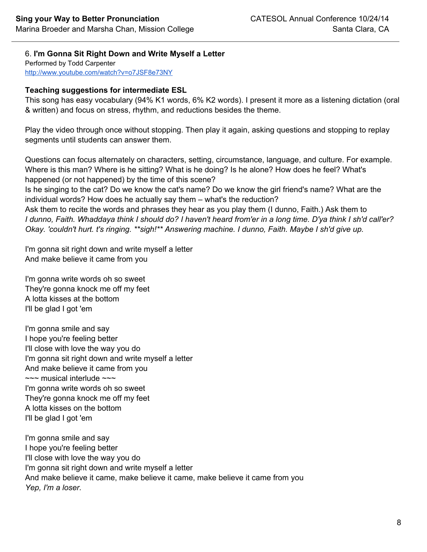# 6. **I'm Gonna Sit Right Down and Write Myself a Letter**

Performed by Todd Carpenter <http://www.youtube.com/watch?v=o7JSF8e73NY>

### **Teaching suggestions for intermediate ESL**

This song has easy vocabulary (94% K1 words, 6% K2 words). I present it more as a listening dictation (oral & written) and focus on stress, rhythm, and reductions besides the theme.

Play the video through once without stopping. Then play it again, asking questions and stopping to replay segments until students can answer them.

Questions can focus alternately on characters, setting, circumstance, language, and culture. For example. Where is this man? Where is he sitting? What is he doing? Is he alone? How does he feel? What's happened (or not happened) by the time of this scene?

Is he singing to the cat? Do we know the cat's name? Do we know the girl friend's name? What are the individual words? How does he actually say them – what's the reduction?

Ask them to recite the words and phrases they hear as you play them (I dunno, Faith.) Ask them to I dunno, Faith. Whaddaya think I should do? I haven't heard from'er in a long time. D'ya think I sh'd call'er? *Okay. 'couldn't hurt. t's ringing. \*\*sigh!\*\* Answering machine. I dunno, Faith. Maybe I sh'd give up.*

I'm gonna sit right down and write myself a letter And make believe it came from you

I'm gonna write words oh so sweet They're gonna knock me off my feet A lotta kisses at the bottom I'll be glad I got 'em

I'm gonna smile and say I hope you're feeling better I'll close with love the way you do I'm gonna sit right down and write myself a letter And make believe it came from you  $\sim$ ~~ musical interlude ~~~ I'm gonna write words oh so sweet They're gonna knock me off my feet A lotta kisses on the bottom I'll be glad I got 'em

I'm gonna smile and say I hope you're feeling better I'll close with love the way you do I'm gonna sit right down and write myself a letter And make believe it came, make believe it came, make believe it came from you *Yep, I'm a loser.*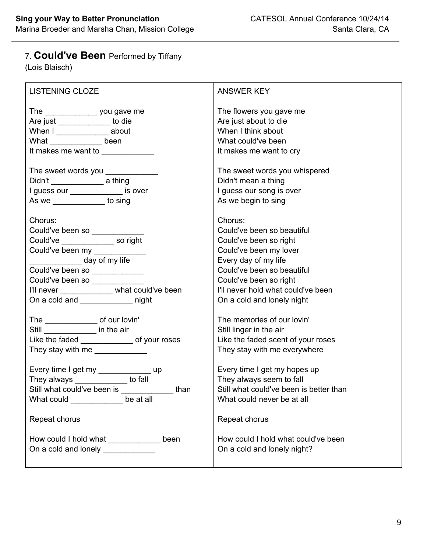# 7. **Could've Been** Performed by Tiffany

(Lois Blaisch)

| <b>LISTENING CLOZE</b>                       | <b>ANSWER KEY</b>                       |
|----------------------------------------------|-----------------------------------------|
| The _______________________ you gave me      | The flowers you gave me                 |
| Are just ______________ to die               | Are just about to die                   |
| When I about                                 | When I think about                      |
| What ________________ been                   | What could've been                      |
| It makes me want to ____________             | It makes me want to cry                 |
|                                              |                                         |
| The sweet words you ______________           | The sweet words you whispered           |
| Didn't ________________________ a thing      | Didn't mean a thing                     |
| I guess our ______________ is over           | I guess our song is over                |
| As we ______________ to sing                 | As we begin to sing                     |
|                                              |                                         |
| Chorus:                                      | Chorus:                                 |
| Could've been so                             | Could've been so beautiful              |
| Could've _________________ so right          | Could've been so right                  |
| Could've been my _____________               | Could've been my lover                  |
| day of my life                               | Every day of my life                    |
| Could've been so                             | Could've been so beautiful              |
| Could've been so                             | Could've been so right                  |
|                                              | I'll never hold what could've been      |
| I'll never _____________ what could've been  |                                         |
| On a cold and _______________ night          | On a cold and lonely night              |
| The ____________________ of our lovin'       | The memories of our lovin'              |
| Still ______________ in the air              | Still linger in the air                 |
| Like the faded _______________ of your roses | Like the faded scent of your roses      |
| They stay with me _____________              | They stay with me everywhere            |
|                                              |                                         |
| Every time I get my ___________________up    | Every time I get my hopes up            |
| They always _____________ to fall            | They always seem to fall                |
| Still what could've been is than             | Still what could've been is better than |
| What could be at all                         | What could never be at all              |
|                                              |                                         |
| Repeat chorus                                | Repeat chorus                           |
|                                              |                                         |
| How could I hold what ____________<br>been   | How could I hold what could've been     |
| On a cold and lonely ____________            | On a cold and lonely night?             |
|                                              |                                         |
|                                              |                                         |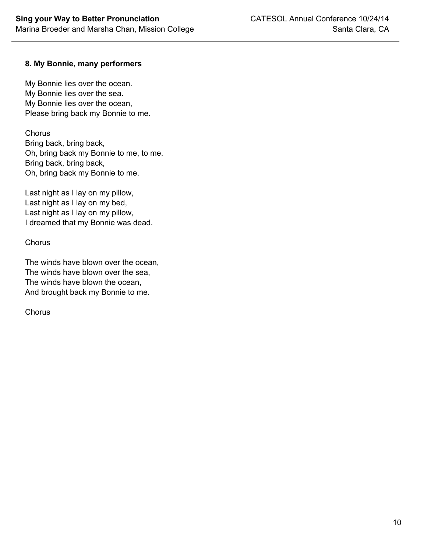### **8. My Bonnie, many performers**

My Bonnie lies over the ocean. My Bonnie lies over the sea. My Bonnie lies over the ocean, Please bring back my Bonnie to me.

**Chorus** 

Bring back, bring back, Oh, bring back my Bonnie to me, to me. Bring back, bring back, Oh, bring back my Bonnie to me.

Last night as I lay on my pillow, Last night as I lay on my bed, Last night as I lay on my pillow, I dreamed that my Bonnie was dead.

**Chorus** 

The winds have blown over the ocean, The winds have blown over the sea, The winds have blown the ocean, And brought back my Bonnie to me.

**Chorus**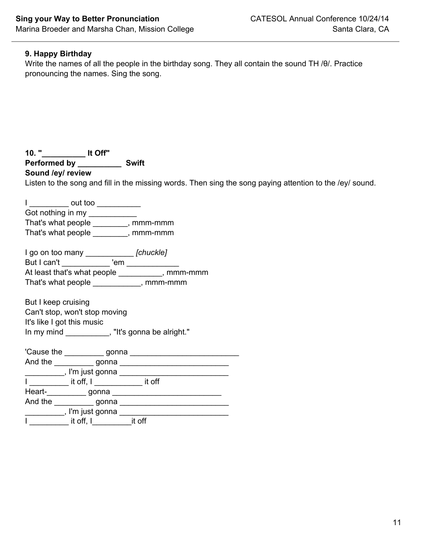## **9. Happy Birthday**

Write the names of all the people in the birthday song. They all contain the sound TH /θ/. Practice pronouncing the names. Sing the song.

**10. "\_\_\_\_\_\_\_\_\_\_ It Off" Performed by \_\_\_\_\_\_\_\_\_\_ Swift Sound /ey/ review** Listen to the song and fill in the missing words. Then sing the song paying attention to the /ey/ sound. I \_\_\_\_\_\_\_\_\_\_ out too \_\_\_\_\_\_\_\_\_\_\_ Got nothing in my \_\_\_\_\_\_\_\_\_\_\_\_ That's what people \_\_\_\_\_\_\_, mmm-mmm That's what people \_\_\_\_\_\_\_, mmm-mmm I go on too many \_\_\_\_\_\_\_\_\_\_\_ *[chuckle]* But I can't \_\_\_\_\_\_\_\_\_\_\_ 'em \_\_\_\_\_\_\_\_\_\_\_\_ At least that's what people \_\_\_\_\_\_\_\_\_, mmm-mmm That's what people \_\_\_\_\_\_\_\_\_\_, mmm-mmm But I keep cruising Can't stop, won't stop moving It's like I got this music In my mind \_\_\_\_\_\_\_\_\_\_, "It's gonna be alright." 'Cause the \_\_\_\_\_\_\_\_\_ gonna \_\_\_\_\_\_\_\_\_\_\_\_\_\_\_\_\_\_\_\_\_\_\_\_\_ And the \_\_\_\_\_\_\_\_\_ gonna \_\_\_\_\_\_\_\_\_\_\_\_\_\_\_\_\_\_\_\_\_\_\_\_\_  $\blacksquare$ , I'm just gonna  $\blacksquare$ I \_\_\_\_\_\_\_\_\_ it off, I \_\_\_\_\_\_\_\_\_\_\_ it off Heart\_\_\_\_\_\_\_\_\_ gonna \_\_\_\_\_\_\_\_\_\_\_\_\_\_\_\_\_\_\_\_\_\_\_\_\_ And the \_\_\_\_\_\_\_\_\_ gonna \_\_\_\_\_\_\_\_\_\_\_\_\_\_\_\_\_\_\_\_\_\_\_\_\_ \_\_\_\_\_\_\_\_\_, I'm just gonna \_\_\_\_\_\_\_\_\_\_\_\_\_\_\_\_\_\_\_\_\_\_\_\_\_ I \_\_\_\_\_\_\_\_\_ it off, I\_\_\_\_\_\_\_\_\_it off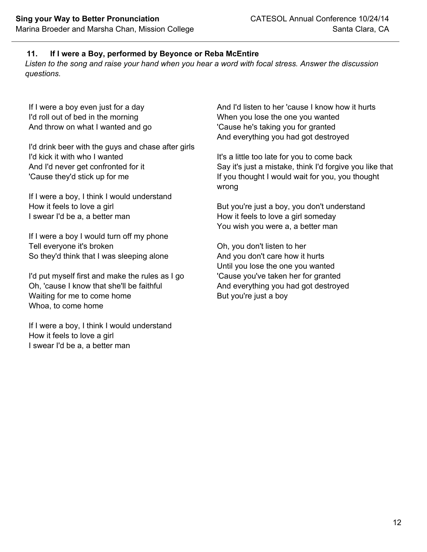# **11. If I were a Boy, performed by Beyonce or Reba McEntire**

Listen to the song and raise your hand when you hear a word with focal stress. Answer the discussion *questions.*

If I were a boy even just for a day I'd roll out of bed in the morning And throw on what I wanted and go

I'd drink beer with the guys and chase after girls I'd kick it with who I wanted And I'd never get confronted for it 'Cause they'd stick up for me

If I were a boy, I think I would understand How it feels to love a girl I swear I'd be a, a better man

If I were a boy I would turn off my phone Tell everyone it's broken So they'd think that I was sleeping alone

I'd put myself first and make the rules as I go Oh, 'cause I know that she'll be faithful Waiting for me to come home Whoa, to come home

If I were a boy, I think I would understand How it feels to love a girl I swear I'd be a, a better man

And I'd listen to her 'cause I know how it hurts When you lose the one you wanted 'Cause he's taking you for granted And everything you had got destroyed

It's a little too late for you to come back Say it's just a mistake, think I'd forgive you like that If you thought I would wait for you, you thought wrong

But you're just a boy, you don't understand How it feels to love a girl someday You wish you were a, a better man

Oh, you don't listen to her And you don't care how it hurts Until you lose the one you wanted 'Cause you've taken her for granted And everything you had got destroyed But you're just a boy